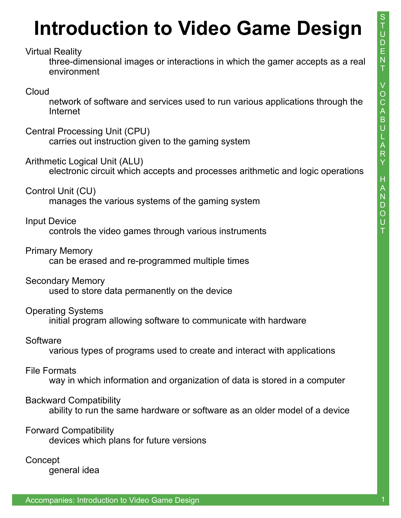# **Introduction to Video Game Design**

Virtual Reality

 three-dimensional images or interactions in which the gamer accepts as a real environment

### Cloud

 network of software and services used to run various applications through the Internet

#### Central Processing Unit (CPU)

carries out instruction given to the gaming system

#### Arithmetic Logical Unit (ALU)

electronic circuit which accepts and processes arithmetic and logic operations

#### Control Unit (CU)

manages the various systems of the gaming system

#### Input Device

controls the video games through various instruments

#### Primary Memory

can be erased and re-programmed multiple times

#### Secondary Memory

used to store data permanently on the device

#### Operating Systems

initial program allowing software to communicate with hardware

#### **Software**

various types of programs used to create and interact with applications

#### File Formats

way in which information and organization of data is stored in a computer

#### Backward Compatibility

ability to run the same hardware or software as an older model of a device

#### Forward Compatibility

devices which plans for future versions

#### **Concept**

general idea